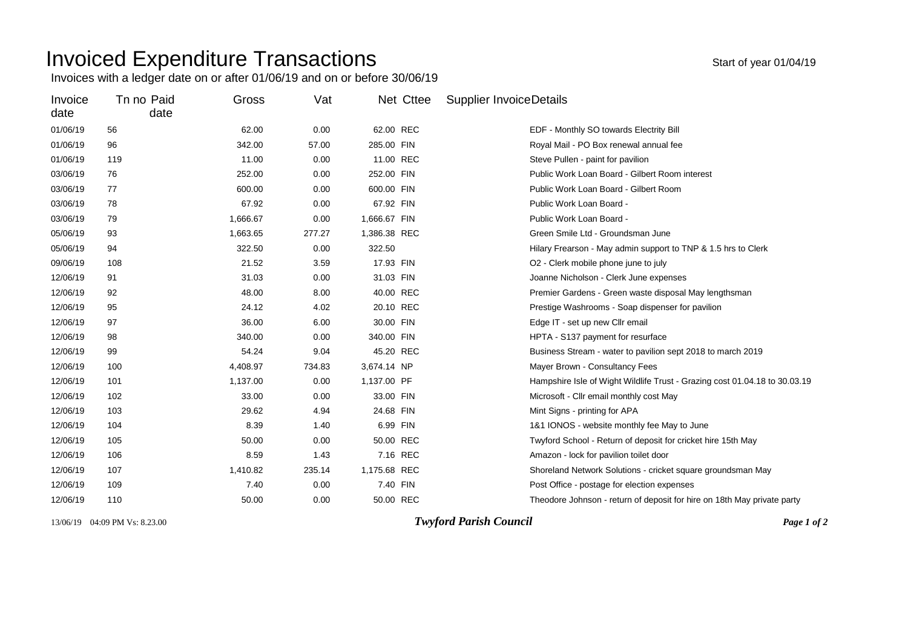## Invoiced Expenditure Transactions and the state of year 01/04/19

Invoices with a ledger date on or after 01/06/19 and on or before 30/06/19

| Invoice<br>date | Tn no Paid<br>date | Gross    | Vat    | Net Cttee    | <b>Supplier InvoiceDetails</b>                                             |
|-----------------|--------------------|----------|--------|--------------|----------------------------------------------------------------------------|
| 01/06/19        | 56                 | 62.00    | 0.00   | 62.00 REC    | EDF - Monthly SO towards Electrity Bill                                    |
| 01/06/19        | 96                 | 342.00   | 57.00  | 285.00 FIN   | Royal Mail - PO Box renewal annual fee                                     |
| 01/06/19        | 119                | 11.00    | 0.00   | 11.00 REC    | Steve Pullen - paint for pavilion                                          |
| 03/06/19        | 76                 | 252.00   | 0.00   | 252.00 FIN   | Public Work Loan Board - Gilbert Room interest                             |
| 03/06/19        | 77                 | 600.00   | 0.00   | 600.00 FIN   | Public Work Loan Board - Gilbert Room                                      |
| 03/06/19        | 78                 | 67.92    | 0.00   | 67.92 FIN    | Public Work Loan Board -                                                   |
| 03/06/19        | 79                 | 1,666.67 | 0.00   | 1,666.67 FIN | Public Work Loan Board -                                                   |
| 05/06/19        | 93                 | 1,663.65 | 277.27 | 1,386.38 REC | Green Smile Ltd - Groundsman June                                          |
| 05/06/19        | 94                 | 322.50   | 0.00   | 322.50       | Hilary Frearson - May admin support to TNP & 1.5 hrs to Clerk              |
| 09/06/19        | 108                | 21.52    | 3.59   | 17.93 FIN    | O2 - Clerk mobile phone june to july                                       |
| 12/06/19        | 91                 | 31.03    | 0.00   | 31.03 FIN    | Joanne Nicholson - Clerk June expenses                                     |
| 12/06/19        | 92                 | 48.00    | 8.00   | 40.00 REC    | Premier Gardens - Green waste disposal May lengthsman                      |
| 12/06/19        | 95                 | 24.12    | 4.02   | 20.10 REC    | Prestige Washrooms - Soap dispenser for pavilion                           |
| 12/06/19        | 97                 | 36.00    | 6.00   | 30.00 FIN    | Edge IT - set up new Cllr email                                            |
| 12/06/19        | 98                 | 340.00   | 0.00   | 340.00 FIN   | HPTA - S137 payment for resurface                                          |
| 12/06/19        | 99                 | 54.24    | 9.04   | 45.20 REC    | Business Stream - water to pavilion sept 2018 to march 2019                |
| 12/06/19        | 100                | 4,408.97 | 734.83 | 3,674.14 NP  | Mayer Brown - Consultancy Fees                                             |
| 12/06/19        | 101                | 1,137.00 | 0.00   | 1,137.00 PF  | Hampshire Isle of Wight Wildlife Trust - Grazing cost 01.04.18 to 30.03.19 |
| 12/06/19        | 102                | 33.00    | 0.00   | 33.00 FIN    | Microsoft - Cllr email monthly cost May                                    |
| 12/06/19        | 103                | 29.62    | 4.94   | 24.68 FIN    | Mint Signs - printing for APA                                              |
| 12/06/19        | 104                | 8.39     | 1.40   | 6.99 FIN     | 1&1 IONOS - website monthly fee May to June                                |
| 12/06/19        | 105                | 50.00    | 0.00   | 50.00 REC    | Twyford School - Return of deposit for cricket hire 15th May               |
| 12/06/19        | 106                | 8.59     | 1.43   | 7.16 REC     | Amazon - lock for pavilion toilet door                                     |
| 12/06/19        | 107                | 1,410.82 | 235.14 | 1,175.68 REC | Shoreland Network Solutions - cricket square groundsman May                |
| 12/06/19        | 109                | 7.40     | 0.00   | 7.40 FIN     | Post Office - postage for election expenses                                |
| 12/06/19        | 110                | 50.00    | 0.00   | 50.00 REC    | Theodore Johnson - return of deposit for hire on 18th May private party    |

13/06/19 04:09 PM Vs: 8.23.00 *Twyford Parish Council Page 1 of 2*